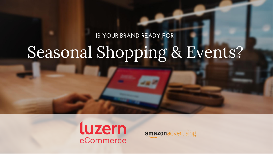**IS YOUR BRAND READY FOR**

# Seasonal Shopping & Events?



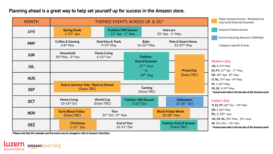#### Planning ahead is a great way to help set yourself up for success in the Amazon store.



*\*Please note that this calendar and the events may be changed or edit at Amazon's discretion.*

**Luzern** amazonadvertising

eCommerce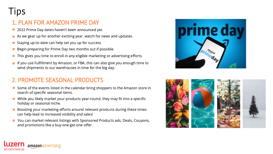## Tips

#### 1. PLAN FOR AMAZON PRIME DAY

- 2022 Prime Day dates haven't been announced yet.  $\mathcal{L}_{\mathcal{A}}$
- As we gear up for another exciting year, watch for news and updates.
- Staying up-to-date can help set you up for success.
- Begin preparing for Prime Day two months out if possible.
- This gives you time to enroll in any eligible marketing or advertising efforts.
- If you use Fulfillment by Amazon, or FBA, this can also give you enough time to send shipments to our warehouses in time for the big day.

### 2. PROMOTE SEASONAL PRODUCTS

- Some of the events listed in the calendar bring shoppers to the Amazon store in  $\mathcal{L}_{\mathcal{A}}$ search of specific seasonal items.
- While you likely market your products year-round, they may fit into a specific holiday or seasonal niche.
- Boosting your marketing efforts around relevant products during these times can help lead to increased visibility and sales!
- You can market relevant listings with Sponsored Products ads, Deals, Coupons, and promotions like a buy-one-get-one offer.

![](_page_2_Picture_13.jpeg)

![](_page_2_Picture_14.jpeg)

![](_page_2_Picture_15.jpeg)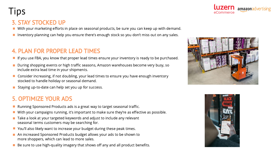![](_page_3_Picture_0.jpeg)

#### 3. STAY STOCKED UP

Tips

With your marketing efforts in place on seasonal products, be sure you can keep up with demand.

Inventory planning can help you ensure there's enough stock so you don't miss out on any sales.

#### 4. PLAN FOR PROPER LEAD TIMES

- If you use FBA, you know that proper lead times ensure your inventory is ready to be purchased.  $\mathbb{R}^n$
- During shopping events or high traffic seasons, Amazon warehouses become very busy, so include extra lead time in your shipments.
- Consider increasing, if not doubling, your lead times to ensure you have enough inventory stocked to handle holiday or seasonal demand.
- Staying up-to-date can help set you up for success.

#### 5. OPTIMIZE YOUR ADS

- Running Sponsored Products ads is a great way to target seasonal traffic.
- With your campaigns running, it's important to make sure they're as effective as possible.
- Take a look at your targeted keywords and adjust to include any relevant seasonal terms customers may be searching for.
- You'll also likely want to increase your budget during these peak times.  $\mathcal{L}_{\mathcal{A}}$
- An increased Sponsored Products budget allows your ads to be shown to more shoppers, which can lead to more sales.
- Be sure to use high-quality imagery that shows off any and all product benefits.

![](_page_3_Picture_16.jpeg)

![](_page_3_Picture_17.jpeg)